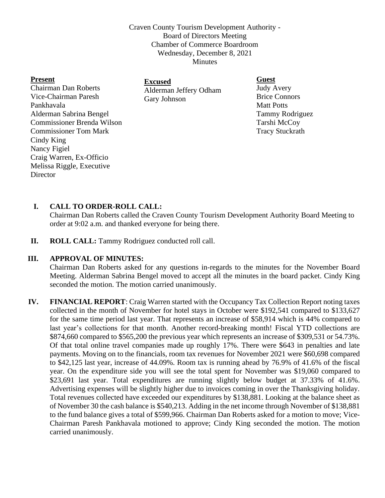Craven County Tourism Development Authority - Board of Directors Meeting Chamber of Commerce Boardroom Wednesday, December 8, 2021 Minutes

| <b>Guest</b>                                             |
|----------------------------------------------------------|
| <b>Judy Avery</b>                                        |
| <b>Brice Connors</b>                                     |
| <b>Matt Potts</b>                                        |
| Tammy Rodrigue                                           |
| Tarshi McCoy                                             |
| <b>Tracy Stuckrath</b>                                   |
|                                                          |
|                                                          |
|                                                          |
|                                                          |
| <b>Excused</b><br>Alderman Jeffery Odham<br>Gary Johnson |

**Director** 

Tammy Rodriguez

# **I. CALL TO ORDER-ROLL CALL:**

Chairman Dan Roberts called the Craven County Tourism Development Authority Board Meeting to order at 9:02 a.m. and thanked everyone for being there.

**II. ROLL CALL:** Tammy Rodriguez conducted roll call.

### **III. APPROVAL OF MINUTES:**

Chairman Dan Roberts asked for any questions in-regards to the minutes for the November Board Meeting. Alderman Sabrina Bengel moved to accept all the minutes in the board packet. Cindy King seconded the motion. The motion carried unanimously.

**IV. FINANCIAL REPORT**: Craig Warren started with the Occupancy Tax Collection Report noting taxes collected in the month of November for hotel stays in October were \$192,541 compared to \$133,627 for the same time period last year. That represents an increase of \$58,914 which is 44% compared to last year's collections for that month. Another record-breaking month! Fiscal YTD collections are \$874,660 compared to \$565,200 the previous year which represents an increase of \$309,531 or 54.73%. Of that total online travel companies made up roughly 17%. There were \$643 in penalties and late payments. Moving on to the financials, room tax revenues for November 2021 were \$60,698 compared to \$42,125 last year, increase of 44.09%. Room tax is running ahead by 76.9% of 41.6% of the fiscal year. On the expenditure side you will see the total spent for November was \$19,060 compared to \$23,691 last year. Total expenditures are running slightly below budget at 37.33% of 41.6%. Advertising expenses will be slightly higher due to invoices coming in over the Thanksgiving holiday. Total revenues collected have exceeded our expenditures by \$138,881. Looking at the balance sheet as of November 30 the cash balance is \$540,213. Adding in the net income through November of \$138,881 to the fund balance gives a total of \$599,966. Chairman Dan Roberts asked for a motion to move; Vice-Chairman Paresh Pankhavala motioned to approve; Cindy King seconded the motion. The motion carried unanimously.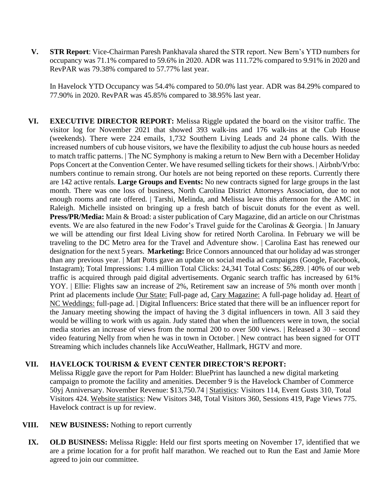**V. STR Report**: Vice-Chairman Paresh Pankhavala shared the STR report. New Bern's YTD numbers for occupancy was 71.1% compared to 59.6% in 2020. ADR was 111.72% compared to 9.91% in 2020 and RevPAR was 79.38% compared to 57.77% last year.

In Havelock YTD Occupancy was 54.4% compared to 50.0% last year. ADR was 84.29% compared to 77.90% in 2020. RevPAR was 45.85% compared to 38.95% last year.

**VI. EXECUTIVE DIRECTOR REPORT:** Melissa Riggle updated the board on the visitor traffic. The visitor log for November 2021 that showed 393 walk-ins and 176 walk-ins at the Cub House (weekends). There were 224 emails, 1,732 Southern Living Leads and 24 phone calls. With the increased numbers of cub house visitors, we have the flexibility to adjust the cub house hours as needed to match traffic patterns. | The NC Symphony is making a return to New Bern with a December Holiday Pops Concert at the Convention Center. We have resumed selling tickets for their shows. | Airbnb/Vrbo: numbers continue to remain strong. Our hotels are not being reported on these reports. Currently there are 142 active rentals. **Large Groups and Events:** No new contracts signed for large groups in the last month. There was one loss of business, North Carolina District Attorneys Association, due to not enough rooms and rate offered. | Tarshi, Melinda, and Melissa leave this afternoon for the AMC in Raleigh. Michelle insisted on bringing up a fresh batch of biscuit donuts for the event as well. **Press/PR/Media:** Main & Broad: a sister publication of Cary Magazine, did an article on our Christmas events. We are also featured in the new Fodor's Travel guide for the Carolinas & Georgia. | In January we will be attending our first Ideal Living show for retired North Carolina. In February we will be traveling to the DC Metro area for the Travel and Adventure show. | Carolina East has renewed our designation for the next 5 years. **Marketing:** Brice Connors announced that our holiday ad was stronger than any previous year. | Matt Potts gave an update on social media ad campaigns (Google, Facebook, Instagram); Total Impressions: 1.4 million Total Clicks: 24,341 Total Costs: \$6,289. | 40% of our web traffic is acquired through paid digital advertisements. Organic search traffic has increased by 61% YOY. | Ellie: Flights saw an increase of 2%, Retirement saw an increase of 5% month over month | Print ad placements include Our State: Full-page ad, Cary Magazine: A full-page holiday ad. Heart of NC Weddings: full-page ad. | Digital Influencers: Brice stated that there will be an influencer report for the January meeting showing the impact of having the 3 digital influencers in town. All 3 said they would be willing to work with us again. Judy stated that when the influencers were in town, the social media stories an increase of views from the normal 200 to over 500 views. | Released a 30 – second video featuring Nelly from when he was in town in October. | New contract has been signed for OTT Streaming which includes channels like AccuWeather, Hallmark, HGTV and more.

### **VII. HAVELOCK TOURISM & EVENT CENTER DIRECTOR'S REPORT:**

Melissa Riggle gave the report for Pam Holder: BluePrint has launched a new digital marketing campaign to promote the facility and amenities. December 9 is the Havelock Chamber of Commerce 50yj Anniversary. November Revenue: \$13,750.74 | Statistics: Visitors 114, Event Gusts 310, Total Visitors 424. Website statistics: New Visitors 348, Total Visitors 360, Sessions 419, Page Views 775. Havelock contract is up for review.

- **VIII. NEW BUSINESS:** Nothing to report currently
	- **IX. OLD BUSINESS:** Melissa Riggle: Held our first sports meeting on November 17, identified that we are a prime location for a for profit half marathon. We reached out to Run the East and Jamie More agreed to join our committee.